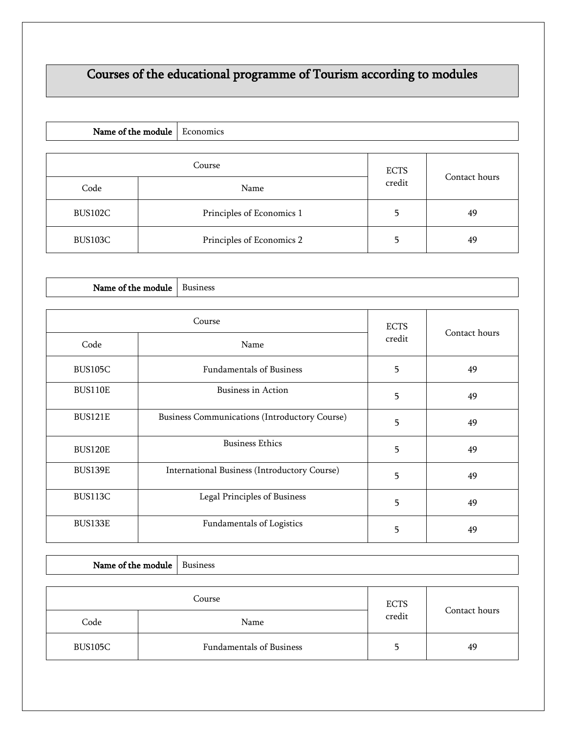## Courses of the educational programme of Tourism according to modules

| Name of the module |  | Economics                 |        |               |
|--------------------|--|---------------------------|--------|---------------|
| Course             |  | ECTS                      |        |               |
| Code               |  | Name                      | credit | Contact hours |
| BUS102C            |  | Principles of Economics 1 |        | 49            |
| BUS103C            |  | Principles of Economics 2 | 5      | 49            |

| Name of the module | <b>Business</b> |
|--------------------|-----------------|
|--------------------|-----------------|

|                | Course                                        | <b>ECTS</b> | Contact hours |  |
|----------------|-----------------------------------------------|-------------|---------------|--|
| Code           | Name                                          | credit      |               |  |
| <b>BUS105C</b> | <b>Fundamentals of Business</b>               | 5           | 49            |  |
| <b>BUS110E</b> | <b>Business in Action</b>                     | 5           | 49            |  |
| BUS121E        | Business Communications (Introductory Course) | 5           | 49            |  |
| BUS120E        | <b>Business Ethics</b>                        | 5           | 49            |  |
| <b>BUS139E</b> | International Business (Introductory Course)  | 5           | 49            |  |
| BUS113C        | Legal Principles of Business                  | 5           | 49            |  |
| BUS133E        | Fundamentals of Logistics                     | 5           | 49            |  |

|         | Course                          | <b>ECTS</b> |               |
|---------|---------------------------------|-------------|---------------|
| Code    | Name                            | credit      | Contact hours |
| BUS105C | <b>Fundamentals of Business</b> |             | 49            |

Name of the module  $\Big|$  Business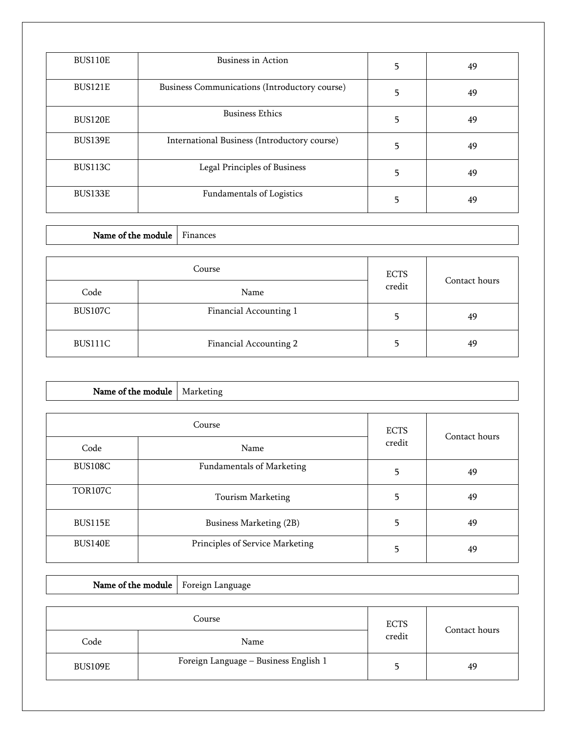| <b>BUS110E</b> | <b>Business in Action</b>                     | 5 | 49 |
|----------------|-----------------------------------------------|---|----|
| <b>BUS121E</b> | Business Communications (Introductory course) | 5 | 49 |
| BUS120E        | <b>Business Ethics</b>                        | 5 | 49 |
| BUS139E        | International Business (Introductory course)  | 5 | 49 |
| BUS113C        | Legal Principles of Business                  | 5 | 49 |
| BUS133E        | <b>Fundamentals of Logistics</b>              | 5 | 49 |

Name of the module Finances

| Course  |                        | <b>ECTS</b> |               |
|---------|------------------------|-------------|---------------|
| Code    | Name                   | credit      | Contact hours |
| BUS107C | Financial Accounting 1 |             | 49            |
| BUS111C | Financial Accounting 2 |             | 49            |

| Name of the module |  | Marketing                        |        |               |
|--------------------|--|----------------------------------|--------|---------------|
|                    |  |                                  |        |               |
| Course             |  | <b>ECTS</b>                      |        |               |
| Code               |  | Name                             | credit | Contact hours |
| BUS108C            |  | <b>Fundamentals of Marketing</b> | 5      | 49            |
| TOR107C            |  | <b>Tourism Marketing</b>         | 5      | 49            |
| <b>BUS115E</b>     |  | Business Marketing (2B)          | 5      | 49            |
| <b>BUS140E</b>     |  | Principles of Service Marketing  | 5      | 49            |

Name of the module  $\Big|$  Foreign Language

| Course  |                                       | <b>ECTS</b> |               |
|---------|---------------------------------------|-------------|---------------|
| Code    | Name                                  | credit      | Contact hours |
| BUS109E | Foreign Language - Business English 1 |             | 49            |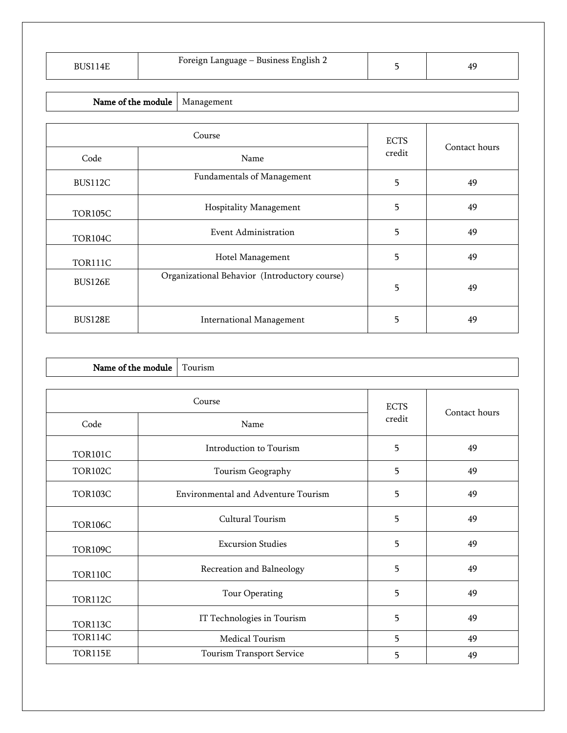| <b>BUS114E</b>     |                            | Foreign Language - Business English 2         | 5           | 49            |
|--------------------|----------------------------|-----------------------------------------------|-------------|---------------|
|                    |                            |                                               |             |               |
| Name of the module |                            | Management                                    |             |               |
|                    |                            |                                               |             |               |
|                    |                            | Course                                        | <b>ECTS</b> | Contact hours |
| Code               |                            | Name                                          | credit      |               |
| BUS112C            | Fundamentals of Management |                                               | 5           | 49            |
| <b>TOR105C</b>     | Hospitality Management     |                                               | 5           | 49            |
| <b>TOR104C</b>     | Event Administration       |                                               | 5           | 49            |
| <b>TOR111C</b>     | Hotel Management           |                                               | 5           | 49            |
| <b>BUS126E</b>     |                            | Organizational Behavior (Introductory course) | 5           | 49            |
| <b>BUS128E</b>     |                            | <b>International Management</b>               | 5           | 49            |

| Name of the module | Tourism                             |             |               |
|--------------------|-------------------------------------|-------------|---------------|
|                    | Course                              | <b>ECTS</b> |               |
| Code               | Name                                | credit      | Contact hours |
| <b>TOR101C</b>     | Introduction to Tourism             | 5           | 49            |
| <b>TOR102C</b>     | Tourism Geography                   | 5           | 49            |
| <b>TOR103C</b>     | Environmental and Adventure Tourism | 5           | 49            |
| <b>TOR106C</b>     | Cultural Tourism                    | 5           | 49            |
| <b>TOR109C</b>     | <b>Excursion Studies</b>            | 5           | 49            |
| <b>TOR110C</b>     | Recreation and Balneology           | 5           | 49            |
| TOR112C            | Tour Operating                      | 5           | 49            |
| TOR113C            | IT Technologies in Tourism          | 5           | 49            |
| TOR114C            | Medical Tourism                     | 5           | 49            |
| <b>TOR115E</b>     | Tourism Transport Service           | 5           | 49            |